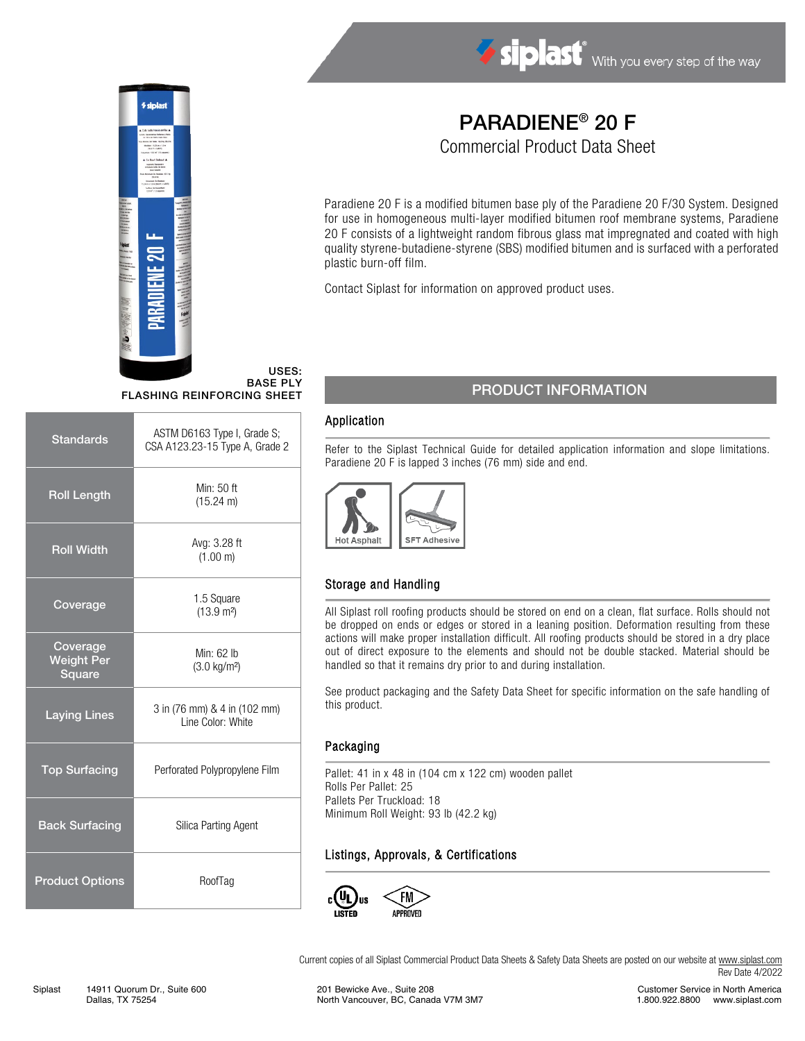



# PARADIENE® 20 F

Commercial Product Data Sheet

Paradiene 20 F is a modified bitumen base ply of the Paradiene 20 F/30 System. Designed for use in homogeneous multi-layer modified bitumen roof membrane systems, Paradiene 20 F consists of a lightweight random fibrous glass mat impregnated and coated with high quality styrene-butadiene-styrene (SBS) modified bitumen and is surfaced with a perforated plastic burn-off film.

Contact Siplast for information on approved product uses.

#### USES: BASE PLY FLASHING REINFORCING SHEET

| <b>Standards</b>                        | ASTM D6163 Type I, Grade S;<br>CSA A123.23-15 Type A, Grade 2 |  |
|-----------------------------------------|---------------------------------------------------------------|--|
| <b>Roll Length</b>                      | Min: 50 ft<br>$(15.24 \text{ m})$                             |  |
| <b>Roll Width</b>                       | Avg: 3.28 ft<br>(1.00 m)                                      |  |
| Coverage                                | 1.5 Square<br>$(13.9 \text{ m}^2)$                            |  |
| Coverage<br><b>Weight Per</b><br>Square | Min: 62 lb<br>$(3.0 \text{ kg/m}^2)$                          |  |
| <b>Laying Lines</b>                     | 3 in (76 mm) & 4 in (102 mm)<br>Line Color: White             |  |
| <b>Top Surfacing</b>                    | Perforated Polypropylene Film                                 |  |
| <b>Back Surfacing</b>                   | Silica Parting Agent                                          |  |
| <b>Product Options</b>                  | RoofTag                                                       |  |

## PRODUCT INFORMATION

#### Application

Refer to the Siplast Technical Guide for detailed application information and slope limitations. Paradiene 20 F is lapped 3 inches (76 mm) side and end.



### Storage and Handling

All Siplast roll roofing products should be stored on end on a clean, flat surface. Rolls should not be dropped on ends or edges or stored in a leaning position. Deformation resulting from these actions will make proper installation difficult. All roofing products should be stored in a dry place out of direct exposure to the elements and should not be double stacked. Material should be handled so that it remains dry prior to and during installation.

See product packaging and the Safety Data Sheet for specific information on the safe handling of this product.

#### Packaging

Pallet: 41 in x 48 in (104 cm x 122 cm) wooden pallet Rolls Per Pallet: 25 Pallets Per Truckload: 18 Minimum Roll Weight: 93 lb (42.2 kg)

### Listings, Approvals, & Certifications



Current copies of all Siplast Commercial Product Data Sheets & Safety Data Sheets are posted on our website at [www.siplast.com](http://www.siplast.com/) Rev Date 4/2022